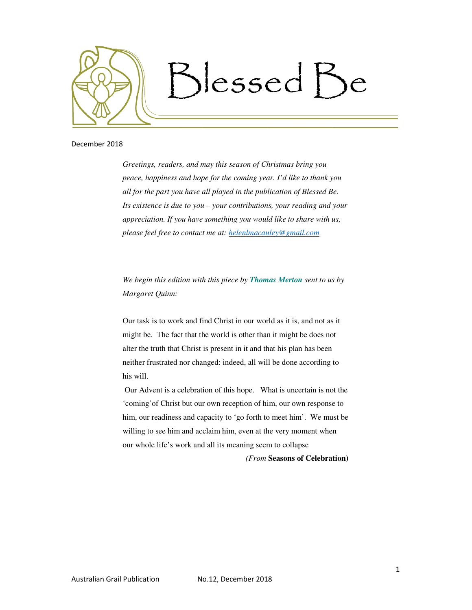

## December 2018

*Greetings, readers, and may this season of Christmas bring you peace, happiness and hope for the coming year. I'd like to thank you all for the part you have all played in the publication of Blessed Be. Its existence is due to you – your contributions, your reading and your appreciation. If you have something you would like to share with us, please feel free to contact me at: helenlmacauley@gmail.com*

*We begin this edition with this piece by Thomas Merton sent to us by Margaret Quinn:* 

Our task is to work and find Christ in our world as it is, and not as it might be. The fact that the world is other than it might be does not alter the truth that Christ is present in it and that his plan has been neither frustrated nor changed: indeed, all will be done according to his will.

 Our Advent is a celebration of this hope. What is uncertain is not the 'coming'of Christ but our own reception of him, our own response to him, our readiness and capacity to 'go forth to meet him'. We must be willing to see him and acclaim him, even at the very moment when our whole life's work and all its meaning seem to collapse

*(From* **Seasons of Celebration)**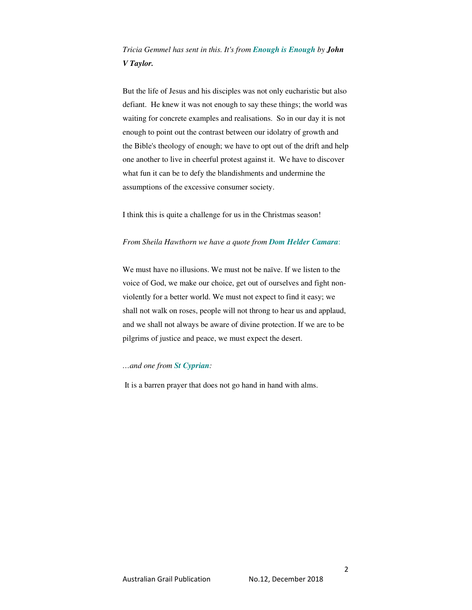*Tricia Gemmel has sent in this. It's from Enough is Enough by John V Taylor.* 

But the life of Jesus and his disciples was not only eucharistic but also defiant. He knew it was not enough to say these things; the world was waiting for concrete examples and realisations. So in our day it is not enough to point out the contrast between our idolatry of growth and the Bible's theology of enough; we have to opt out of the drift and help one another to live in cheerful protest against it. We have to discover what fun it can be to defy the blandishments and undermine the assumptions of the excessive consumer society.

I think this is quite a challenge for us in the Christmas season!

### *From Sheila Hawthorn we have a quote from Dom Helder Camara*:

We must have no illusions. We must not be naïve. If we listen to the voice of God, we make our choice, get out of ourselves and fight nonviolently for a better world. We must not expect to find it easy; we shall not walk on roses, people will not throng to hear us and applaud, and we shall not always be aware of divine protection. If we are to be pilgrims of justice and peace, we must expect the desert.

#### *…and one from St Cyprian:*

It is a barren prayer that does not go hand in hand with alms.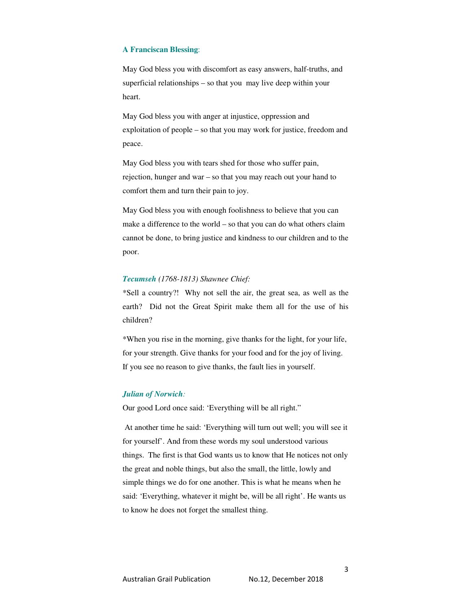#### **A Franciscan Blessing**:

May God bless you with discomfort as easy answers, half-truths, and superficial relationships – so that you may live deep within your heart.

May God bless you with anger at injustice, oppression and exploitation of people – so that you may work for justice, freedom and peace.

May God bless you with tears shed for those who suffer pain, rejection, hunger and war – so that you may reach out your hand to comfort them and turn their pain to joy.

May God bless you with enough foolishness to believe that you can make a difference to the world – so that you can do what others claim cannot be done, to bring justice and kindness to our children and to the poor.

## *Tecumseh (1768-1813) Shawnee Chief:*

\*Sell a country?! Why not sell the air, the great sea, as well as the earth? Did not the Great Spirit make them all for the use of his children?

\*When you rise in the morning, give thanks for the light, for your life, for your strength. Give thanks for your food and for the joy of living. If you see no reason to give thanks, the fault lies in yourself.

### *Julian of Norwich:*

Our good Lord once said: 'Everything will be all right."

 At another time he said: 'Everything will turn out well; you will see it for yourself'. And from these words my soul understood various things. The first is that God wants us to know that He notices not only the great and noble things, but also the small, the little, lowly and simple things we do for one another. This is what he means when he said: 'Everything, whatever it might be, will be all right'. He wants us to know he does not forget the smallest thing.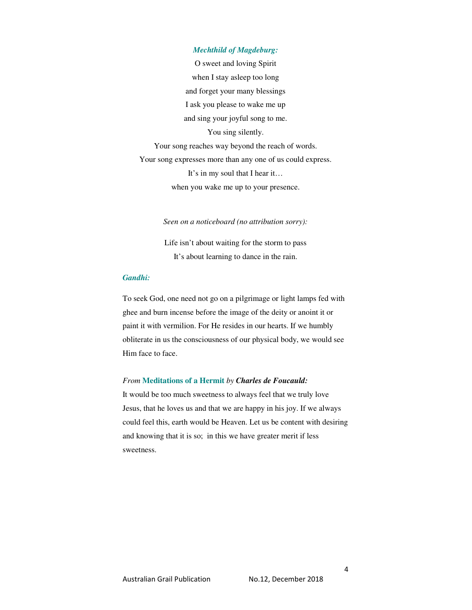### *Mechthild of Magdeburg:*

O sweet and loving Spirit when I stay asleep too long and forget your many blessings I ask you please to wake me up and sing your joyful song to me. You sing silently. Your song reaches way beyond the reach of words. Your song expresses more than any one of us could express. It's in my soul that I hear it…

when you wake me up to your presence.

*Seen on a noticeboard (no attribution sorry):* 

Life isn't about waiting for the storm to pass It's about learning to dance in the rain.

## *Gandhi:*

To seek God, one need not go on a pilgrimage or light lamps fed with ghee and burn incense before the image of the deity or anoint it or paint it with vermilion. For He resides in our hearts. If we humbly obliterate in us the consciousness of our physical body, we would see Him face to face.

#### *From* **Meditations of a Hermit** *by Charles de Foucauld:*

It would be too much sweetness to always feel that we truly love Jesus, that he loves us and that we are happy in his joy. If we always could feel this, earth would be Heaven. Let us be content with desiring and knowing that it is so; in this we have greater merit if less sweetness.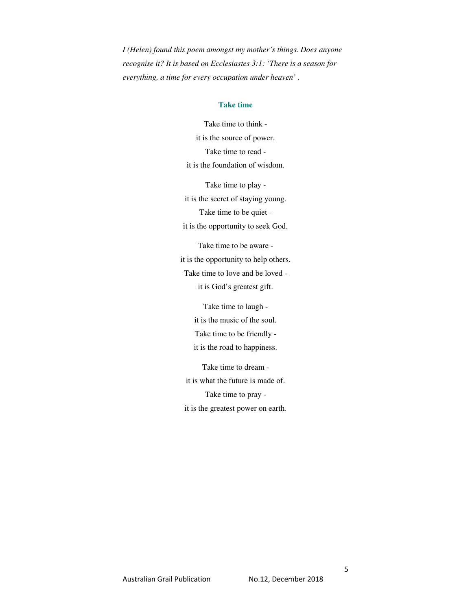*I (Helen) found this poem amongst my mother's things. Does anyone recognise it? It is based on Ecclesiastes 3:1: 'There is a season for everything, a time for every occupation under heaven' .* 

# **Take time**

Take time to think it is the source of power. Take time to read it is the foundation of wisdom.

Take time to play it is the secret of staying young. Take time to be quiet it is the opportunity to seek God.

Take time to be aware it is the opportunity to help others. Take time to love and be loved it is God's greatest gift.

> Take time to laugh it is the music of the soul. Take time to be friendly it is the road to happiness.

Take time to dream it is what the future is made of. Take time to pray it is the greatest power on earth*.*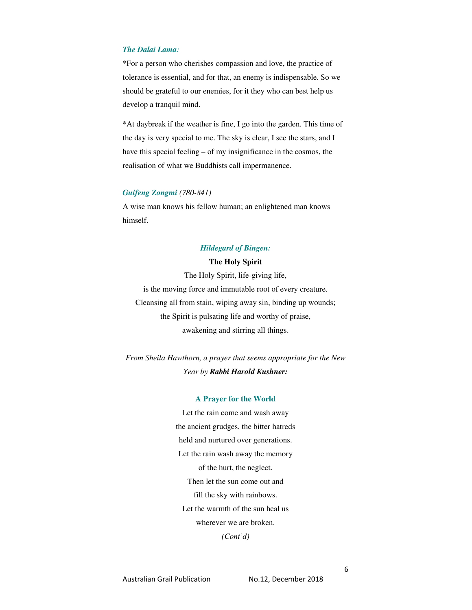# *The Dalai Lama:*

\*For a person who cherishes compassion and love, the practice of tolerance is essential, and for that, an enemy is indispensable. So we should be grateful to our enemies, for it they who can best help us develop a tranquil mind.

\*At daybreak if the weather is fine, I go into the garden. This time of the day is very special to me. The sky is clear, I see the stars, and I have this special feeling – of my insignificance in the cosmos, the realisation of what we Buddhists call impermanence.

### *Guifeng Zongmi (780-841)*

A wise man knows his fellow human; an enlightened man knows himself.

### *Hildegard of Bingen:*

### **The Holy Spirit**

The Holy Spirit, life-giving life, is the moving force and immutable root of every creature. Cleansing all from stain, wiping away sin, binding up wounds; the Spirit is pulsating life and worthy of praise, awakening and stirring all things.

*From Sheila Hawthorn, a prayer that seems appropriate for the New Year by Rabbi Harold Kushner:* 

#### **A Prayer for the World**

Let the rain come and wash away the ancient grudges, the bitter hatreds held and nurtured over generations. Let the rain wash away the memory of the hurt, the neglect. Then let the sun come out and fill the sky with rainbows. Let the warmth of the sun heal us wherever we are broken. *(Cont'd)* 

6